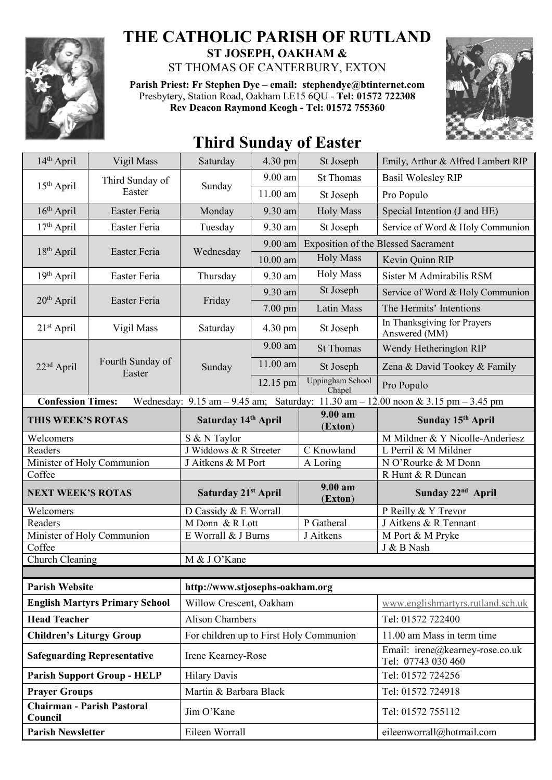

## **THE CATHOLIC PARISH OF RUTLAND ST JOSEPH, OAKHAM &**

ST THOMAS OF CANTERBURY, EXTON

**Parish Priest: Fr Stephen Dye** – **[email: stephendye@btinternet.com](mailto:email:%20%20stephendye@btinternet.com)** Presbytery, Station Road, Oakham LE15 6QU - **Tel: 01572 722308 Rev Deacon Raymond Keogh - Tel: 01572 755360**



## **Third Sunday of Easter**

| 14th April                                                                                                                                                          | Vigil Mass                 | Saturday                                | 4.30 pm           | St Joseph                         | Emily, Arthur & Alfred Lambert RIP                    |  |
|---------------------------------------------------------------------------------------------------------------------------------------------------------------------|----------------------------|-----------------------------------------|-------------------|-----------------------------------|-------------------------------------------------------|--|
| 15 <sup>th</sup> April                                                                                                                                              | Third Sunday of<br>Easter  | Sunday                                  | $9.00$ am         | <b>St Thomas</b>                  | <b>Basil Wolesley RIP</b>                             |  |
|                                                                                                                                                                     |                            |                                         | 11.00 am          | St Joseph                         | Pro Populo                                            |  |
| $16th$ April                                                                                                                                                        | Easter Feria               | Monday                                  | 9.30 am           | <b>Holy Mass</b>                  | Special Intention (J and HE)                          |  |
| 17 <sup>th</sup> April                                                                                                                                              | Easter Feria               | Tuesday                                 | 9.30 am           | St Joseph                         | Service of Word & Holy Communion                      |  |
| $18th$ April                                                                                                                                                        | Easter Feria               | Wednesday                               | $9.00$ am         |                                   | <b>Exposition of the Blessed Sacrament</b>            |  |
|                                                                                                                                                                     |                            |                                         | $10.00$ am        | <b>Holy Mass</b>                  | Kevin Quinn RIP                                       |  |
| 19 <sup>th</sup> April                                                                                                                                              | Easter Feria               | Thursday                                | 9.30 am           | <b>Holy Mass</b>                  | Sister M Admirabilis RSM                              |  |
| 20 <sup>th</sup> April                                                                                                                                              | Easter Feria               | Friday                                  | 9.30 am           | St Joseph                         | Service of Word & Holy Communion                      |  |
|                                                                                                                                                                     |                            |                                         | 7.00 pm           | Latin Mass                        | The Hermits' Intentions                               |  |
| $21st$ April                                                                                                                                                        | Vigil Mass                 | Saturday                                | $4.30 \text{ pm}$ | St Joseph                         | In Thanksgiving for Prayers<br>Answered (MM)          |  |
|                                                                                                                                                                     | Fourth Sunday of<br>Easter | Sunday                                  | $9.00$ am         | <b>St Thomas</b>                  | Wendy Hetherington RIP                                |  |
| 22 <sup>nd</sup> April                                                                                                                                              |                            |                                         | 11.00 am          | St Joseph                         | Zena & David Tookey & Family                          |  |
|                                                                                                                                                                     |                            |                                         | 12.15 pm          | <b>Uppingham School</b><br>Chapel | Pro Populo                                            |  |
| <b>Confession Times:</b><br>Wednesday: $9.15 \text{ am} - 9.45 \text{ am}$ ; Saturday: $11.30 \text{ am} - 12.00 \text{ noon} \& 3.15 \text{ pm} - 3.45 \text{ pm}$ |                            |                                         |                   |                                   |                                                       |  |
| THIS WEEK'S ROTAS                                                                                                                                                   |                            | Saturday 14th April                     |                   | 9.00 a <sub>m</sub><br>(Exton)    | Sunday 15 <sup>th</sup> April                         |  |
| Welcomers                                                                                                                                                           |                            | S & N Taylor                            |                   |                                   | M Mildner & Y Nicolle-Anderiesz                       |  |
| Readers                                                                                                                                                             |                            | J Widdows & R Streeter                  |                   | C Knowland                        | L Perril & M Mildner                                  |  |
| Minister of Holy Communion<br>Coffee                                                                                                                                |                            | J Aitkens & M Port                      |                   | A Loring                          | N O'Rourke & M Donn<br>R Hunt & R Duncan              |  |
|                                                                                                                                                                     |                            |                                         |                   | 9.00 am                           |                                                       |  |
| <b>NEXT WEEK'S ROTAS</b>                                                                                                                                            |                            | Saturday 21st April                     |                   | (Exton)                           | Sunday 22 <sup>nd</sup> April                         |  |
| Welcomers                                                                                                                                                           |                            | D Cassidy & E Worrall                   |                   |                                   | P Reilly & Y Trevor                                   |  |
| Readers                                                                                                                                                             |                            | M Donn & R Lott                         |                   | P Gatheral                        | J Aitkens & R Tennant                                 |  |
| Minister of Holy Communion                                                                                                                                          |                            | E Worrall & J Burns                     |                   | J Aitkens                         | M Port & M Pryke<br>J & B Nash                        |  |
| Coffee<br>Church Cleaning                                                                                                                                           |                            | M & J O'Kane                            |                   |                                   |                                                       |  |
|                                                                                                                                                                     |                            |                                         |                   |                                   |                                                       |  |
| <b>Parish Website</b>                                                                                                                                               |                            | http://www.stjosephs-oakham.org         |                   |                                   |                                                       |  |
| <b>English Martyrs Primary School</b>                                                                                                                               |                            | Willow Crescent, Oakham                 |                   |                                   | www.englishmartyrs.rutland.sch.uk                     |  |
| <b>Head Teacher</b>                                                                                                                                                 |                            | <b>Alison Chambers</b>                  |                   |                                   | Tel: 01572 722400                                     |  |
| <b>Children's Liturgy Group</b>                                                                                                                                     |                            | For children up to First Holy Communion |                   |                                   | 11.00 am Mass in term time                            |  |
| <b>Safeguarding Representative</b>                                                                                                                                  |                            | Irene Kearney-Rose                      |                   |                                   | Email: irene@kearney-rose.co.uk<br>Tel: 07743 030 460 |  |
| <b>Parish Support Group - HELP</b>                                                                                                                                  |                            | <b>Hilary Davis</b>                     |                   |                                   | Tel: 01572 724256                                     |  |
| <b>Prayer Groups</b>                                                                                                                                                |                            | Martin & Barbara Black                  |                   |                                   | Tel: 01572 724918                                     |  |
| <b>Chairman - Parish Pastoral</b><br>Council                                                                                                                        |                            | Jim O'Kane                              |                   |                                   | Tel: 01572 755112                                     |  |
| <b>Parish Newsletter</b>                                                                                                                                            |                            | Eileen Worrall                          |                   |                                   | eileenworrall@hotmail.com                             |  |